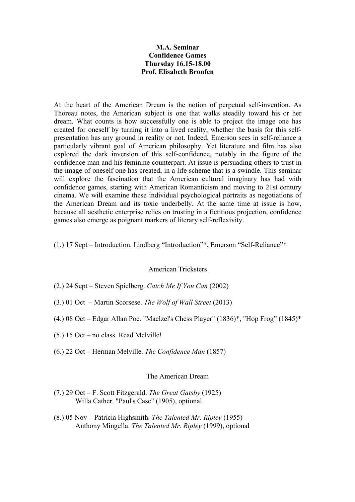# **M.A. Seminar Confidence Games Thursday 16.15-18.00 Prof. Elisabeth Bronfen**

At the heart of the American Dream is the notion of perpetual self-invention. As Thoreau notes, the American subject is one that walks steadily toward his or her dream. What counts is how successfully one is able to project the image one has created for oneself by turning it into a lived reality, whether the basis for this selfpresentation has any ground in reality or not. Indeed, Emerson sees in self-reliance a particularly vibrant goal of American philosophy. Yet literature and film has also explored the dark inversion of this self-confidence, notably in the figure of the confidence man and his feminine counterpart. At issue is persuading others to trust in the image of oneself one has created, in a life scheme that is a swindle. This seminar will explore the fascination that the American cultural imaginary has had with confidence games, starting with American Romanticism and moving to 21st century cinema. We will examine these individual psychological portraits as negotiations of the American Dream and its toxic underbelly. At the same time at issue is how, because all aesthetic enterprise relies on trusting in a fictitious projection, confidence games also emerge as poignant markers of literary self-reflexivity.

(1.) 17 Sept – Introduction. Lindberg "Introduction"\*, Emerson "Self-Reliance"\*

### American Tricksters

- (2.) 24 Sept Steven Spielberg. *Catch Me If You Can* (2002)
- (3.) 01 Oct Martin Scorsese. *The Wolf of Wall Street* (2013)
- (4.) 08 Oct Edgar Allan Poe. "Maelzel's Chess Player" (1836)\*, "Hop Frog" (1845)\*
- (5.) 15 Oct no class. Read Melville!
- (6.) 22 Oct Herman Melville. *The Confidence Man* (1857)

### The American Dream

- (7.) 29 Oct F. Scott Fitzgerald. *The Great Gatsby* (1925) Willa Cather. "Paul's Case" (1905), optional
- (8.) 05 Nov Patricia Highsmith. *The Talented Mr. Ripley* (1955) Anthony Mingella. *The Talented Mr. Ripley* (1999), optional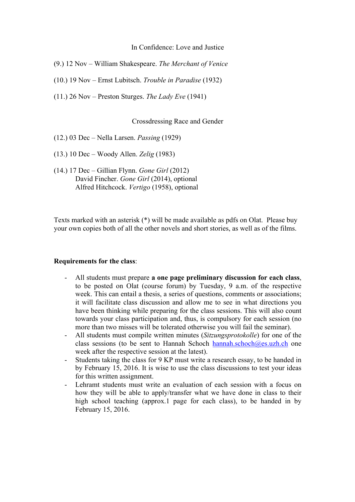### In Confidence: Love and Justice

- (9.) 12 Nov William Shakespeare. *The Merchant of Venice*
- (10.) 19 Nov Ernst Lubitsch. *Trouble in Paradise* (1932)
- (11.) 26 Nov Preston Sturges. *The Lady Eve* (1941)

### Crossdressing Race and Gender

- (12.) 03 Dec Nella Larsen. *Passing* (1929)
- (13.) 10 Dec Woody Allen. *Zelig* (1983)
- (14.) 17 Dec Gillian Flynn. *Gone Girl* (2012) David Fincher. *Gone Girl* (2014), optional Alfred Hitchcock. *Vertigo* (1958), optional

Texts marked with an asterisk (\*) will be made available as pdfs on Olat. Please buy your own copies both of all the other novels and short stories, as well as of the films.

#### **Requirements for the class**:

- All students must prepare **a one page preliminary discussion for each class**, to be posted on Olat (course forum) by Tuesday, 9 a.m. of the respective week. This can entail a thesis, a series of questions, comments or associations; it will facilitate class discussion and allow me to see in what directions you have been thinking while preparing for the class sessions. This will also count towards your class participation and, thus, is compulsory for each session (no more than two misses will be tolerated otherwise you will fail the seminar).
- All students must compile written minutes (*Sitzungsprotokolle*) for one of the class sessions (to be sent to Hannah Schoch hannah.schoch $@es.uzh.ch$  one week after the respective session at the latest).
- Students taking the class for 9 KP must write a research essay, to be handed in by February 15, 2016. It is wise to use the class discussions to test your ideas for this written assignment.
- Lehramt students must write an evaluation of each session with a focus on how they will be able to apply/transfer what we have done in class to their high school teaching (approx.1 page for each class), to be handed in by February 15, 2016.